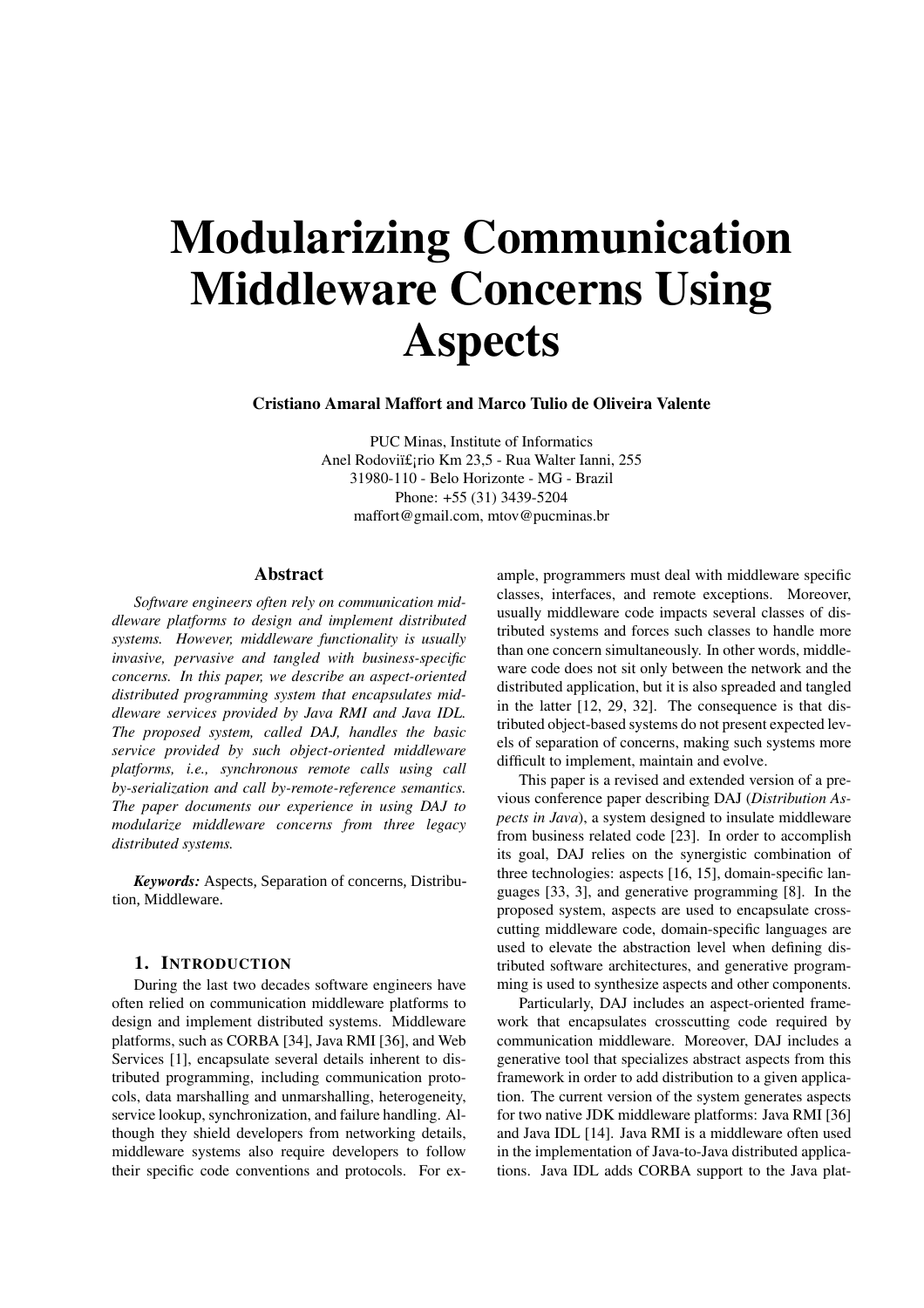# Modularizing Communication Middleware Concerns Using Aspects

Cristiano Amaral Maffort and Marco Tulio de Oliveira Valente

PUC Minas, Institute of Informatics Anel Rodoviï£; rio Km 23,5 - Rua Walter Ianni, 255 31980-110 - Belo Horizonte - MG - Brazil Phone: +55 (31) 3439-5204 maffort@gmail.com, mtov@pucminas.br

# Abstract

*Software engineers often rely on communication middleware platforms to design and implement distributed systems. However, middleware functionality is usually invasive, pervasive and tangled with business-specific concerns. In this paper, we describe an aspect-oriented distributed programming system that encapsulates middleware services provided by Java RMI and Java IDL. The proposed system, called DAJ, handles the basic service provided by such object-oriented middleware platforms, i.e., synchronous remote calls using call by-serialization and call by-remote-reference semantics. The paper documents our experience in using DAJ to modularize middleware concerns from three legacy distributed systems.*

Keywords: Aspects, Separation of concerns, Distribution, Middleware.

#### 1. INTRODUCTION

During the last two decades software engineers have often relied on communication middleware platforms to design and implement distributed systems. Middleware platforms, such as CORBA [34], Java RMI [36], and Web Services [1], encapsulate several details inherent to distributed programming, including communication protocols, data marshalling and unmarshalling, heterogeneity, service lookup, synchronization, and failure handling. Although they shield developers from networking details, middleware systems also require developers to follow their specific code conventions and protocols. For example, programmers must deal with middleware specific classes, interfaces, and remote exceptions. Moreover, usually middleware code impacts several classes of distributed systems and forces such classes to handle more than one concern simultaneously. In other words, middleware code does not sit only between the network and the distributed application, but it is also spreaded and tangled in the latter [12, 29, 32]. The consequence is that distributed object-based systems do not present expected levels of separation of concerns, making such systems more difficult to implement, maintain and evolve.

This paper is a revised and extended version of a previous conference paper describing DAJ (*Distribution Aspects in Java*), a system designed to insulate middleware from business related code [23]. In order to accomplish its goal, DAJ relies on the synergistic combination of three technologies: aspects [16, 15], domain-specific languages [33, 3], and generative programming [8]. In the proposed system, aspects are used to encapsulate crosscutting middleware code, domain-specific languages are used to elevate the abstraction level when defining distributed software architectures, and generative programming is used to synthesize aspects and other components.

Particularly, DAJ includes an aspect-oriented framework that encapsulates crosscutting code required by communication middleware. Moreover, DAJ includes a generative tool that specializes abstract aspects from this framework in order to add distribution to a given application. The current version of the system generates aspects for two native JDK middleware platforms: Java RMI [36] and Java IDL [14]. Java RMI is a middleware often used in the implementation of Java-to-Java distributed applications. Java IDL adds CORBA support to the Java plat-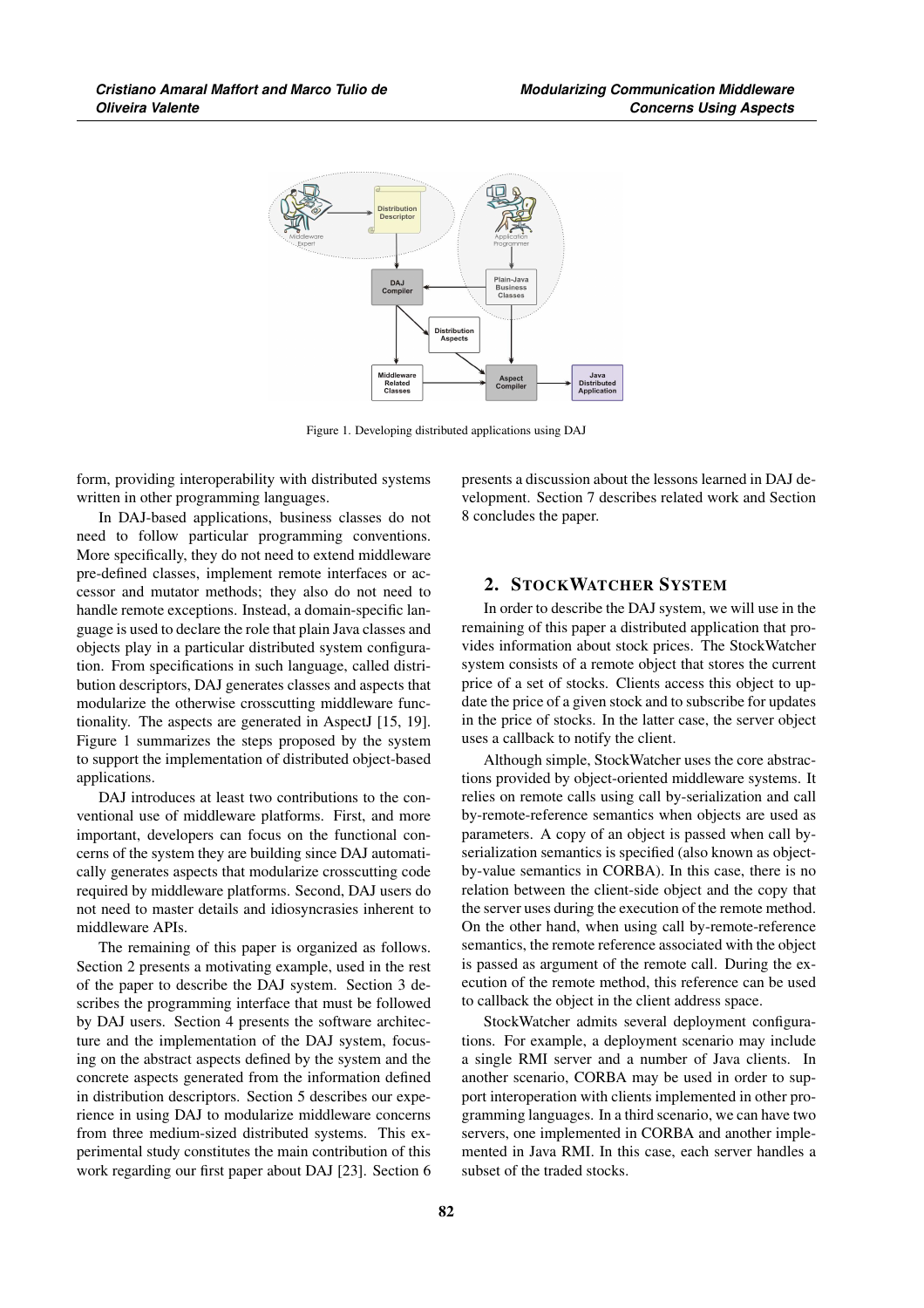

Figure 1. Developing distributed applications using DAJ

form, providing interoperability with distributed systems written in other programming languages.

In DAJ-based applications, business classes do not need to follow particular programming conventions. More specifically, they do not need to extend middleware pre-defined classes, implement remote interfaces or accessor and mutator methods; they also do not need to handle remote exceptions. Instead, a domain-specific language is used to declare the role that plain Java classes and objects play in a particular distributed system configuration. From specifications in such language, called distribution descriptors, DAJ generates classes and aspects that modularize the otherwise crosscutting middleware functionality. The aspects are generated in AspectJ [15, 19]. Figure 1 summarizes the steps proposed by the system to support the implementation of distributed object-based applications.

DAJ introduces at least two contributions to the conventional use of middleware platforms. First, and more important, developers can focus on the functional concerns of the system they are building since DAJ automatically generates aspects that modularize crosscutting code required by middleware platforms. Second, DAJ users do not need to master details and idiosyncrasies inherent to middleware APIs.

The remaining of this paper is organized as follows. Section 2 presents a motivating example, used in the rest of the paper to describe the DAJ system. Section 3 describes the programming interface that must be followed by DAJ users. Section 4 presents the software architecture and the implementation of the DAJ system, focusing on the abstract aspects defined by the system and the concrete aspects generated from the information defined in distribution descriptors. Section 5 describes our experience in using DAJ to modularize middleware concerns from three medium-sized distributed systems. This experimental study constitutes the main contribution of this work regarding our first paper about DAJ [23]. Section 6 presents a discussion about the lessons learned in DAJ development. Section 7 describes related work and Section 8 concludes the paper.

# 2. STOCKWATCHER SYSTEM

In order to describe the DAJ system, we will use in the remaining of this paper a distributed application that provides information about stock prices. The StockWatcher system consists of a remote object that stores the current price of a set of stocks. Clients access this object to update the price of a given stock and to subscribe for updates in the price of stocks. In the latter case, the server object uses a callback to notify the client.

Although simple, StockWatcher uses the core abstractions provided by object-oriented middleware systems. It relies on remote calls using call by-serialization and call by-remote-reference semantics when objects are used as parameters. A copy of an object is passed when call byserialization semantics is specified (also known as objectby-value semantics in CORBA). In this case, there is no relation between the client-side object and the copy that the server uses during the execution of the remote method. On the other hand, when using call by-remote-reference semantics, the remote reference associated with the object is passed as argument of the remote call. During the execution of the remote method, this reference can be used to callback the object in the client address space.

StockWatcher admits several deployment configurations. For example, a deployment scenario may include a single RMI server and a number of Java clients. In another scenario, CORBA may be used in order to support interoperation with clients implemented in other programming languages. In a third scenario, we can have two servers, one implemented in CORBA and another implemented in Java RMI. In this case, each server handles a subset of the traded stocks.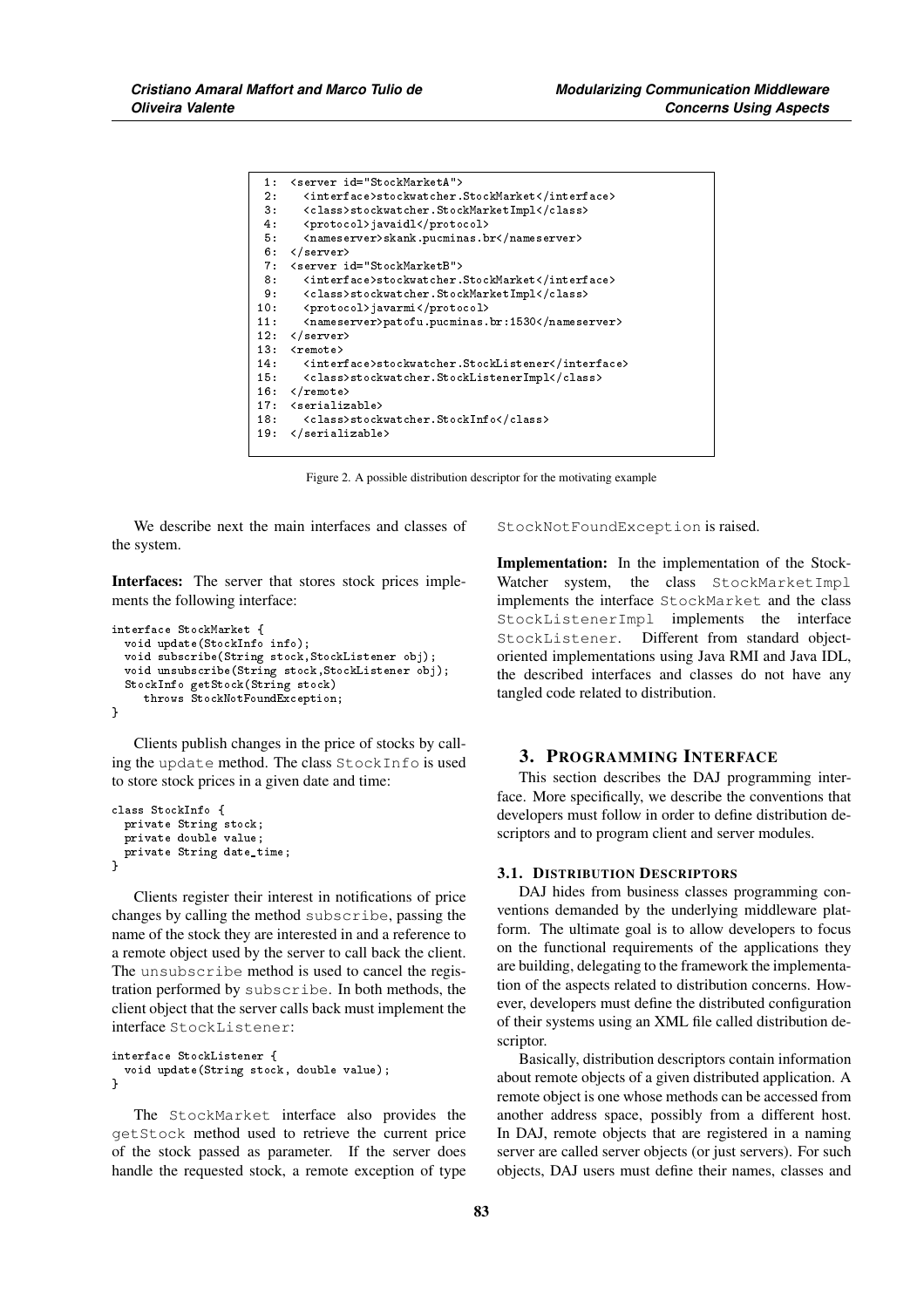| 1:     | <server id="StockMarketA"></server>               |
|--------|---------------------------------------------------|
| 2:     | <interface>stockwatcher.StockMarket</interface>   |
| $3 -$  | <class>stockwatcher.StockMarketImpl</class>       |
| 4.     | <protocol>javaidl</protocol>                      |
| 5.     | <nameserver>skank.pucminas.br</nameserver>        |
| 6 :    | $\langle /s$ erver $\rangle$                      |
| 7:     | <server id="StockMarketB"></server>               |
| 8 :    | <interface>stockwatcher.StockMarket</interface>   |
| 9 :    | <class>stockwatcher.StockMarketImpl</class>       |
| 10:    | <protocol>javarmi</protocol>                      |
| 11:    | <nameserver>patofu.pucminas.br:1530</nameserver>  |
| 12:    | $\langle$ /server>                                |
| 13:    | $<$ remote $>$                                    |
| 14:    | <interface>stockwatcher.StockListener</interface> |
| 15:    | <class>stockwatcher.StockListenerImpl</class>     |
| $16 -$ | $\langle$ /remote>                                |
| 17:    | <serializable></serializable>                     |
| 18:    | <class>stockwatcher.StockInfo</class>             |
| 19:    |                                                   |

Figure 2. A possible distribution descriptor for the motivating example

We describe next the main interfaces and classes of the system.

Interfaces: The server that stores stock prices implements the following interface:

```
interface StockMarket {
 void update(StockInfo info);
 void subscribe(String stock,StockListener obj);
 void unsubscribe(String stock,StockListener obj);
 StockInfo getStock(String stock)
    throws StockNotFoundException;
}
```
Clients publish changes in the price of stocks by calling the update method. The class StockInfo is used to store stock prices in a given date and time:

```
class StockInfo {
  private String stock;
  private double value;
 private String date_time;
\overline{1}
```
Clients register their interest in notifications of price changes by calling the method subscribe, passing the name of the stock they are interested in and a reference to a remote object used by the server to call back the client. The unsubscribe method is used to cancel the registration performed by subscribe. In both methods, the client object that the server calls back must implement the interface StockListener:

```
interface StockListener {
 void update(String stock, double value);
}
```
The StockMarket interface also provides the getStock method used to retrieve the current price of the stock passed as parameter. If the server does handle the requested stock, a remote exception of type StockNotFoundException is raised.

Implementation: In the implementation of the Stock-Watcher system, the class StockMarketImpl implements the interface StockMarket and the class StockListenerImpl implements the interface StockListener. Different from standard objectoriented implementations using Java RMI and Java IDL, the described interfaces and classes do not have any tangled code related to distribution.

## 3. PROGRAMMING INTERFACE

This section describes the DAJ programming interface. More specifically, we describe the conventions that developers must follow in order to define distribution descriptors and to program client and server modules.

## 3.1. DISTRIBUTION DESCRIPTORS

DAJ hides from business classes programming conventions demanded by the underlying middleware platform. The ultimate goal is to allow developers to focus on the functional requirements of the applications they are building, delegating to the framework the implementation of the aspects related to distribution concerns. However, developers must define the distributed configuration of their systems using an XML file called distribution descriptor.

Basically, distribution descriptors contain information about remote objects of a given distributed application. A remote object is one whose methods can be accessed from another address space, possibly from a different host. In DAJ, remote objects that are registered in a naming server are called server objects (or just servers). For such objects, DAJ users must define their names, classes and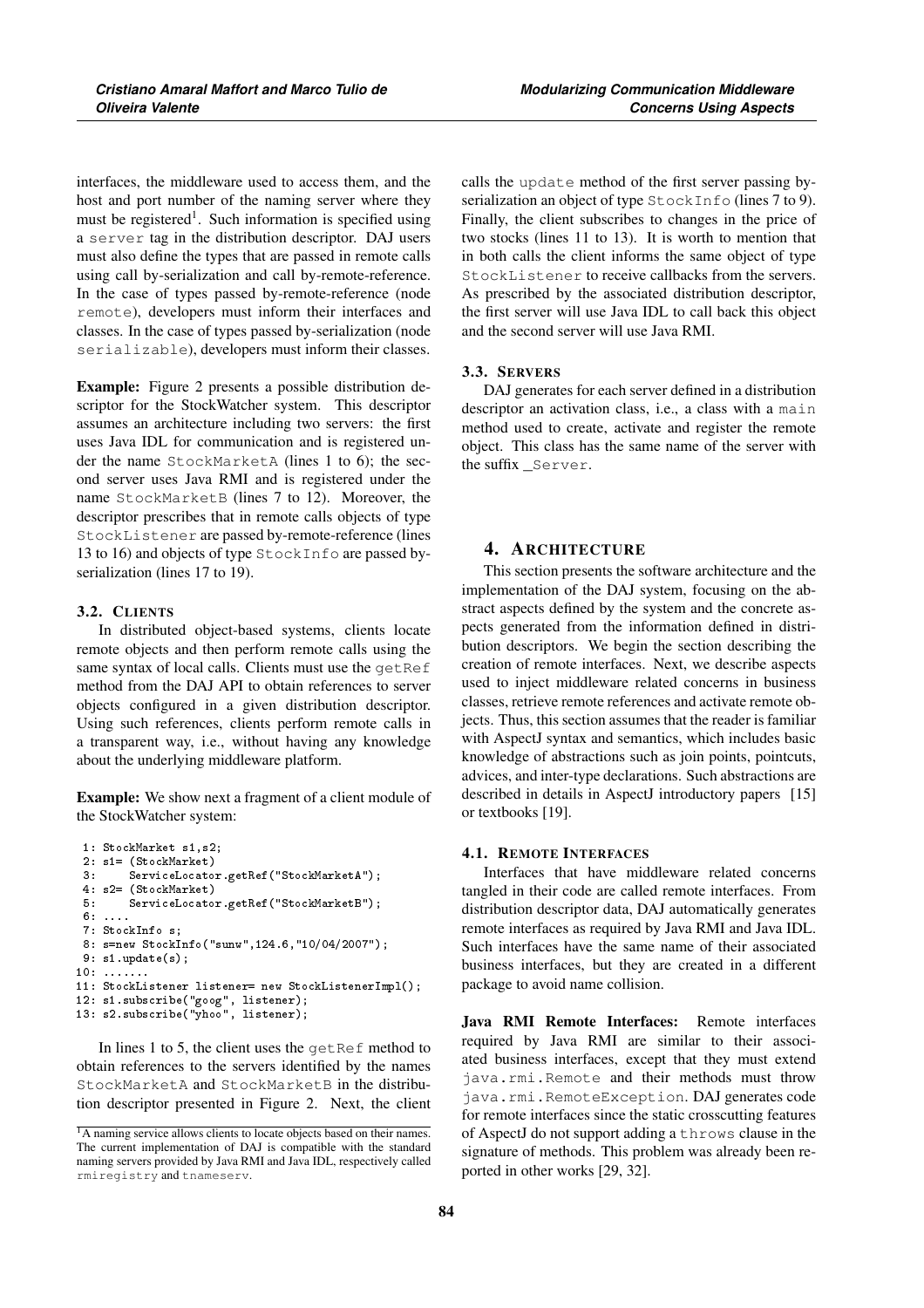interfaces, the middleware used to access them, and the host and port number of the naming server where they must be registered<sup>1</sup>. Such information is specified using a server tag in the distribution descriptor. DAJ users must also define the types that are passed in remote calls using call by-serialization and call by-remote-reference. In the case of types passed by-remote-reference (node remote), developers must inform their interfaces and classes. In the case of types passed by-serialization (node serializable), developers must inform their classes.

Example: Figure 2 presents a possible distribution descriptor for the StockWatcher system. This descriptor assumes an architecture including two servers: the first uses Java IDL for communication and is registered under the name StockMarketA (lines 1 to 6); the second server uses Java RMI and is registered under the name StockMarketB (lines 7 to 12). Moreover, the descriptor prescribes that in remote calls objects of type StockListener are passed by-remote-reference (lines 13 to 16) and objects of type StockInfo are passed byserialization (lines 17 to 19).

## 3.2. CLIENTS

In distributed object-based systems, clients locate remote objects and then perform remote calls using the same syntax of local calls. Clients must use the getRef method from the DAJ API to obtain references to server objects configured in a given distribution descriptor. Using such references, clients perform remote calls in a transparent way, i.e., without having any knowledge about the underlying middleware platform.

Example: We show next a fragment of a client module of the StockWatcher system:

```
1: StockMarket s1,s2;
2: s1= (StockMarket)
3: ServiceLocator.getRef("StockMarketA");
4: s2= (StockMarket)
5: ServiceLocator.getRef("StockMarketB");
6: ....
7: StockInfo s;
8: s=new StockInfo("sunw",124.6,"10/04/2007");
9: s1.update(s):10: .......
11: StockListener listener= new StockListenerImpl();
12: s1.subscribe("goog", listener);
13: s2.subscribe("yhoo", listener);
```
In lines 1 to 5, the client uses the getRef method to obtain references to the servers identified by the names StockMarketA and StockMarketB in the distribution descriptor presented in Figure 2. Next, the client calls the update method of the first server passing byserialization an object of type StockInfo (lines 7 to 9). Finally, the client subscribes to changes in the price of two stocks (lines 11 to 13). It is worth to mention that in both calls the client informs the same object of type StockListener to receive callbacks from the servers. As prescribed by the associated distribution descriptor, the first server will use Java IDL to call back this object and the second server will use Java RMI.

#### 3.3. SERVERS

DAJ generates for each server defined in a distribution descriptor an activation class, i.e., a class with a main method used to create, activate and register the remote object. This class has the same name of the server with the suffix Server.

## 4. ARCHITECTURE

This section presents the software architecture and the implementation of the DAJ system, focusing on the abstract aspects defined by the system and the concrete aspects generated from the information defined in distribution descriptors. We begin the section describing the creation of remote interfaces. Next, we describe aspects used to inject middleware related concerns in business classes, retrieve remote references and activate remote objects. Thus, this section assumes that the reader is familiar with AspectJ syntax and semantics, which includes basic knowledge of abstractions such as join points, pointcuts, advices, and inter-type declarations. Such abstractions are described in details in AspectJ introductory papers [15] or textbooks [19].

## 4.1. REMOTE INTERFACES

Interfaces that have middleware related concerns tangled in their code are called remote interfaces. From distribution descriptor data, DAJ automatically generates remote interfaces as required by Java RMI and Java IDL. Such interfaces have the same name of their associated business interfaces, but they are created in a different package to avoid name collision.

Java RMI Remote Interfaces: Remote interfaces required by Java RMI are similar to their associated business interfaces, except that they must extend java.rmi.Remote and their methods must throw java.rmi.RemoteException. DAJ generates code for remote interfaces since the static crosscutting features of AspectJ do not support adding a throws clause in the signature of methods. This problem was already been reported in other works [29, 32].

<sup>&</sup>lt;sup>1</sup>A naming service allows clients to locate objects based on their names. The current implementation of DAJ is compatible with the standard naming servers provided by Java RMI and Java IDL, respectively called rmiregistry and tnameserv.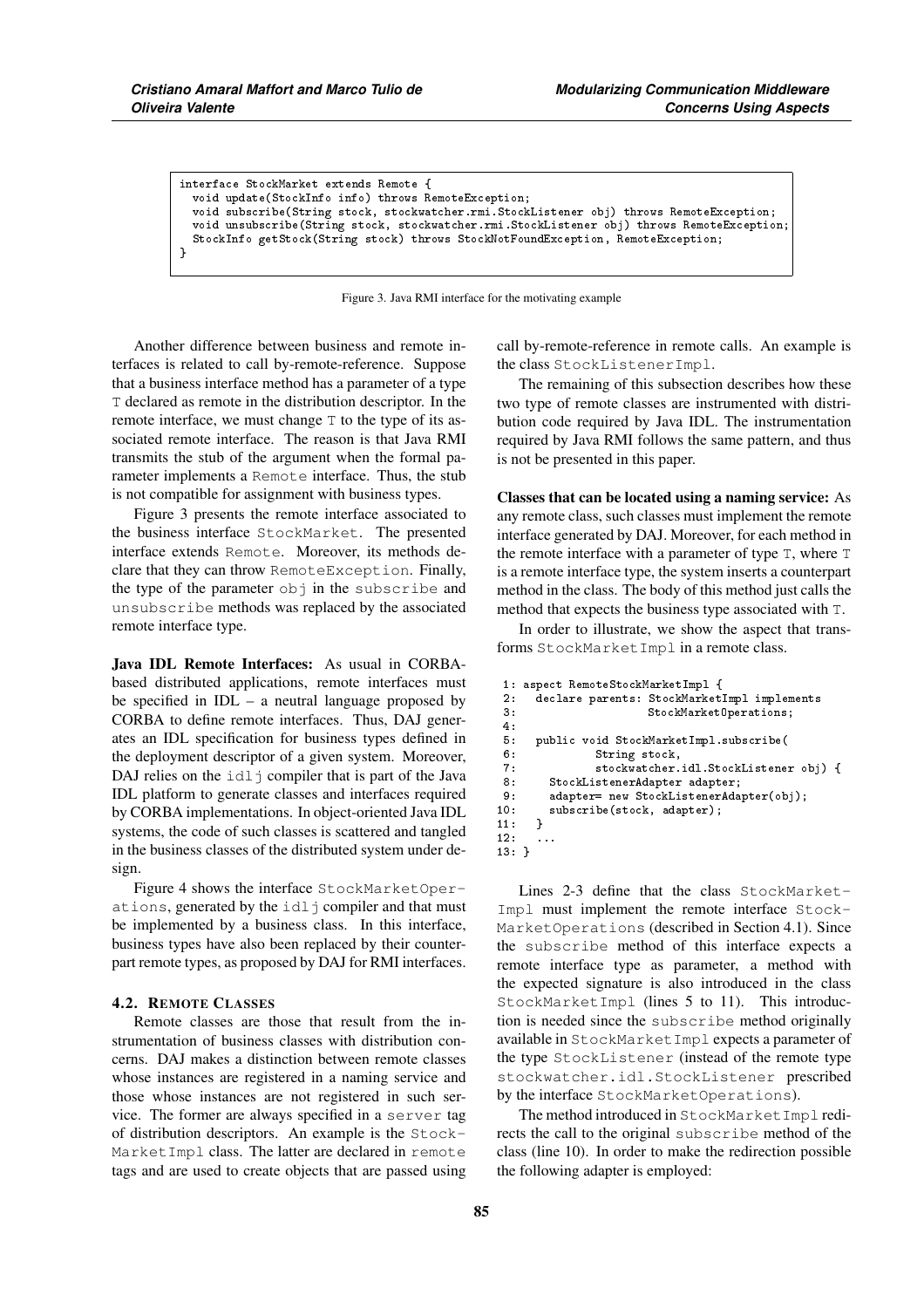```
interface StockMarket extends Remote {
  void update(StockInfo info) throws RemoteException;
  void subscribe(String stock, stockwatcher.rmi.StockListener obj) throws RemoteException;
  void unsubscribe(String stock, stockwatcher.rmi.StockListener obj) throws RemoteException;
  StockInfo getStock(String stock) throws StockNotFoundException, RemoteException;
}
```
Figure 3. Java RMI interface for the motivating example

Another difference between business and remote interfaces is related to call by-remote-reference. Suppose that a business interface method has a parameter of a type T declared as remote in the distribution descriptor. In the remote interface, we must change T to the type of its associated remote interface. The reason is that Java RMI transmits the stub of the argument when the formal parameter implements a Remote interface. Thus, the stub is not compatible for assignment with business types.

Figure 3 presents the remote interface associated to the business interface StockMarket. The presented interface extends Remote. Moreover, its methods declare that they can throw RemoteException. Finally, the type of the parameter obj in the subscribe and unsubscribe methods was replaced by the associated remote interface type.

Java IDL Remote Interfaces: As usual in CORBAbased distributed applications, remote interfaces must be specified in  $IDL - a$  neutral language proposed by CORBA to define remote interfaces. Thus, DAJ generates an IDL specification for business types defined in the deployment descriptor of a given system. Moreover, DAJ relies on the  $idl \uparrow$  compiler that is part of the Java IDL platform to generate classes and interfaces required by CORBA implementations. In object-oriented Java IDL systems, the code of such classes is scattered and tangled in the business classes of the distributed system under design.

Figure 4 shows the interface StockMarketOperations, generated by the idl j compiler and that must be implemented by a business class. In this interface, business types have also been replaced by their counterpart remote types, as proposed by DAJ for RMI interfaces.

#### 4.2. REMOTE CLASSES

Remote classes are those that result from the instrumentation of business classes with distribution concerns. DAJ makes a distinction between remote classes whose instances are registered in a naming service and those whose instances are not registered in such service. The former are always specified in a server tag of distribution descriptors. An example is the Stock-MarketImpl class. The latter are declared in remote tags and are used to create objects that are passed using call by-remote-reference in remote calls. An example is the class StockListenerImpl.

The remaining of this subsection describes how these two type of remote classes are instrumented with distribution code required by Java IDL. The instrumentation required by Java RMI follows the same pattern, and thus is not be presented in this paper.

Classes that can be located using a naming service: As any remote class, such classes must implement the remote interface generated by DAJ. Moreover, for each method in the remote interface with a parameter of type T, where T is a remote interface type, the system inserts a counterpart method in the class. The body of this method just calls the method that expects the business type associated with T.

In order to illustrate, we show the aspect that transforms StockMarketImpl in a remote class.

```
1: aspect RemoteStockMarketImpl {
      declare parents: StockMarketImpl implements
3: StockMarketOperations;
4:
5: public void StockMarketImpl.subscribe(<br>6: String stock,
                String stock,
 7: stockwatcher.idl.StockListener obj) {
8: StockListenerAdapter adapter;
9: adapter= new StockListenerAdapter(obj);<br>10: subscribe(stock, adapter);
      subscribe(stock, adapter);<br>}
\frac{11}{12}:
      12: ...
13: }
```
Lines 2-3 define that the class StockMarket-Impl must implement the remote interface Stock-MarketOperations (described in Section 4.1). Since the subscribe method of this interface expects a remote interface type as parameter, a method with the expected signature is also introduced in the class StockMarketImpl (lines 5 to 11). This introduction is needed since the subscribe method originally available in StockMarketImpl expects a parameter of the type StockListener (instead of the remote type stockwatcher.idl.StockListener prescribed by the interface StockMarketOperations).

The method introduced in StockMarketImpl redirects the call to the original subscribe method of the class (line 10). In order to make the redirection possible the following adapter is employed: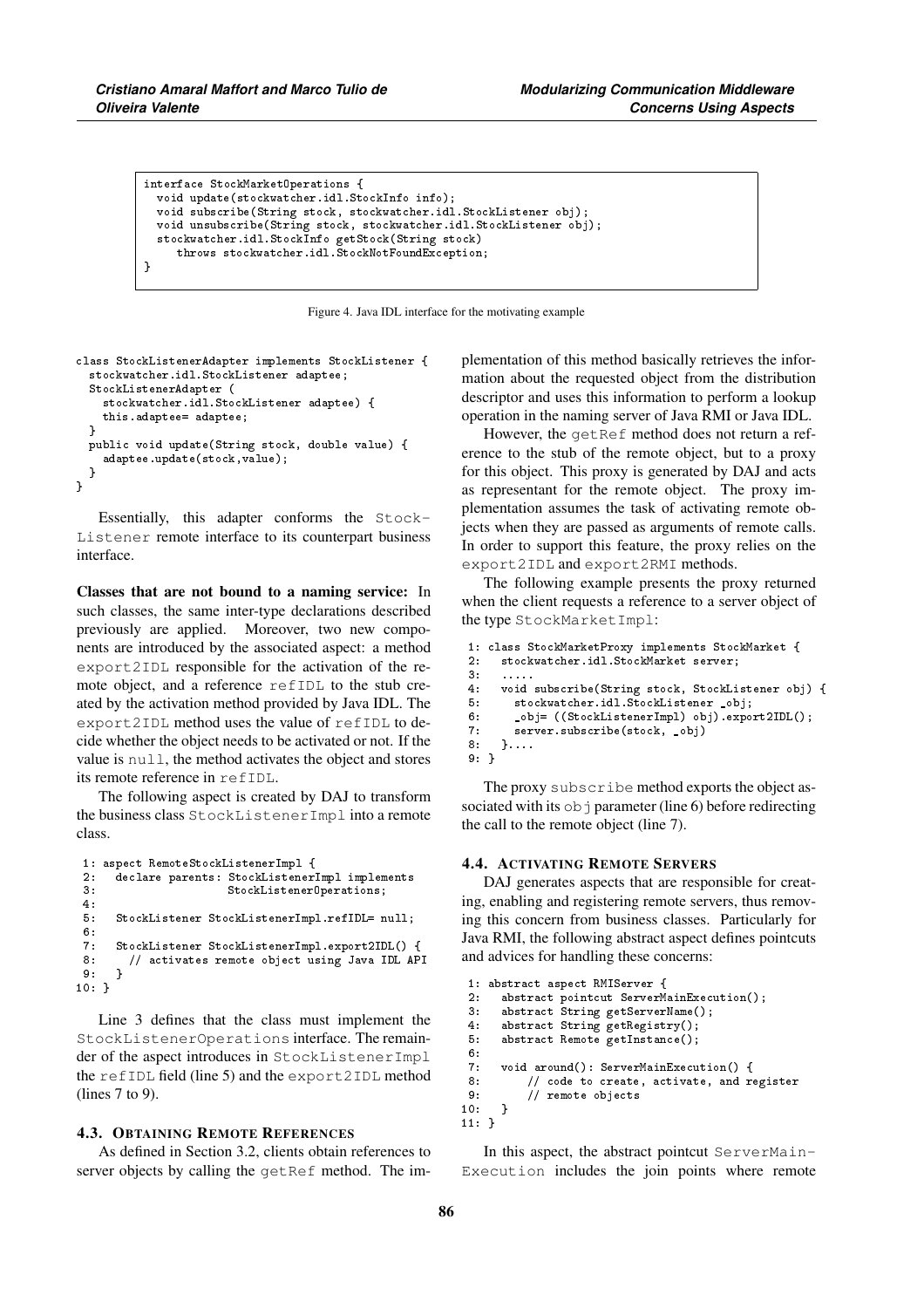```
interface StockMarketOperations {
 void update(stockwatcher.idl.StockInfo info);
 void subscribe(String stock, stockwatcher.idl.StockListener obj);
  void unsubscribe(String stock, stockwatcher.idl.StockListener obj);
  stockwatcher.idl.StockInfo getStock(String stock)
     throws stockwatcher.idl.StockNotFoundException;
}
```
Figure 4. Java IDL interface for the motivating example

```
class StockListenerAdapter implements StockListener {
  stockwatcher.idl.StockListener adaptee;
  StockListenerAdapter (
    stockwatcher.idl.StockListener adaptee) {
    this.adaptee= adaptee;
  }
  public void update(String stock, double value) {
    adaptee.update(stock,value);
  }
}
```
Essentially, this adapter conforms the Stock-Listener remote interface to its counterpart business interface.

Classes that are not bound to a naming service: In such classes, the same inter-type declarations described previously are applied. Moreover, two new components are introduced by the associated aspect: a method export2IDL responsible for the activation of the remote object, and a reference refIDL to the stub created by the activation method provided by Java IDL. The export2IDL method uses the value of refIDL to decide whether the object needs to be activated or not. If the value is null, the method activates the object and stores its remote reference in refIDL.

The following aspect is created by DAJ to transform the business class StockListenerImpl into a remote class.

```
1: aspect RemoteStockListenerImpl {
2: declare parents: StockListenerImpl implements<br>3: StockListenerOperations:
                         3: StockListenerOperations;
4:
5: StockListener StockListenerImpl.refIDL= null;
\frac{6}{7}7: StockListener StockListenerImpl.export2IDL() {
      8: // activates remote object using Java IDL API
\circ10: }
```
Line 3 defines that the class must implement the StockListenerOperations interface. The remainder of the aspect introduces in StockListenerImpl the refIDL field (line 5) and the export2IDL method (lines 7 to 9).

#### 4.3. OBTAINING REMOTE REFERENCES

As defined in Section 3.2, clients obtain references to server objects by calling the getRef method. The implementation of this method basically retrieves the information about the requested object from the distribution descriptor and uses this information to perform a lookup operation in the naming server of Java RMI or Java IDL.

However, the getRef method does not return a reference to the stub of the remote object, but to a proxy for this object. This proxy is generated by DAJ and acts as representant for the remote object. The proxy implementation assumes the task of activating remote objects when they are passed as arguments of remote calls. In order to support this feature, the proxy relies on the export2IDL and export2RMI methods.

The following example presents the proxy returned when the client requests a reference to a server object of the type StockMarketImpl:

```
1: class StockMarketProxy implements StockMarket {
     stockwatcher.idl.StockMarket server;
\frac{3}{4}:
     4: void subscribe(String stock, StockListener obj) {
5: stockwatcher.idl.StockListener _obj;
6: _obj= ((StockListenerImpl) obj).export2IDL();
7: server.subscribe(stock, _obj)<br>8: }
     8: }....
9: }
```
The proxy subscribe method exports the object associated with its  $\circ \circ$  parameter (line 6) before redirecting the call to the remote object (line 7).

## 4.4. ACTIVATING REMOTE SERVERS

DAJ generates aspects that are responsible for creating, enabling and registering remote servers, thus removing this concern from business classes. Particularly for Java RMI, the following abstract aspect defines pointcuts and advices for handling these concerns:

```
1: abstract aspect RMIServer {
2: abstract pointcut ServerMainExecution();<br>3: abstract String getServerName();
       abstract String getServerName();
4: abstract String getRegistry();
5: abstract Remote getInstance();
6:
7: void around(): ServerMainExecution() {<br>8: // code to create, activate, and re
8: \frac{1}{2} code to create, activate, and register \frac{9}{2}9: // remote objects
10:11: }
```
In this aspect, the abstract pointcut ServerMain-Execution includes the join points where remote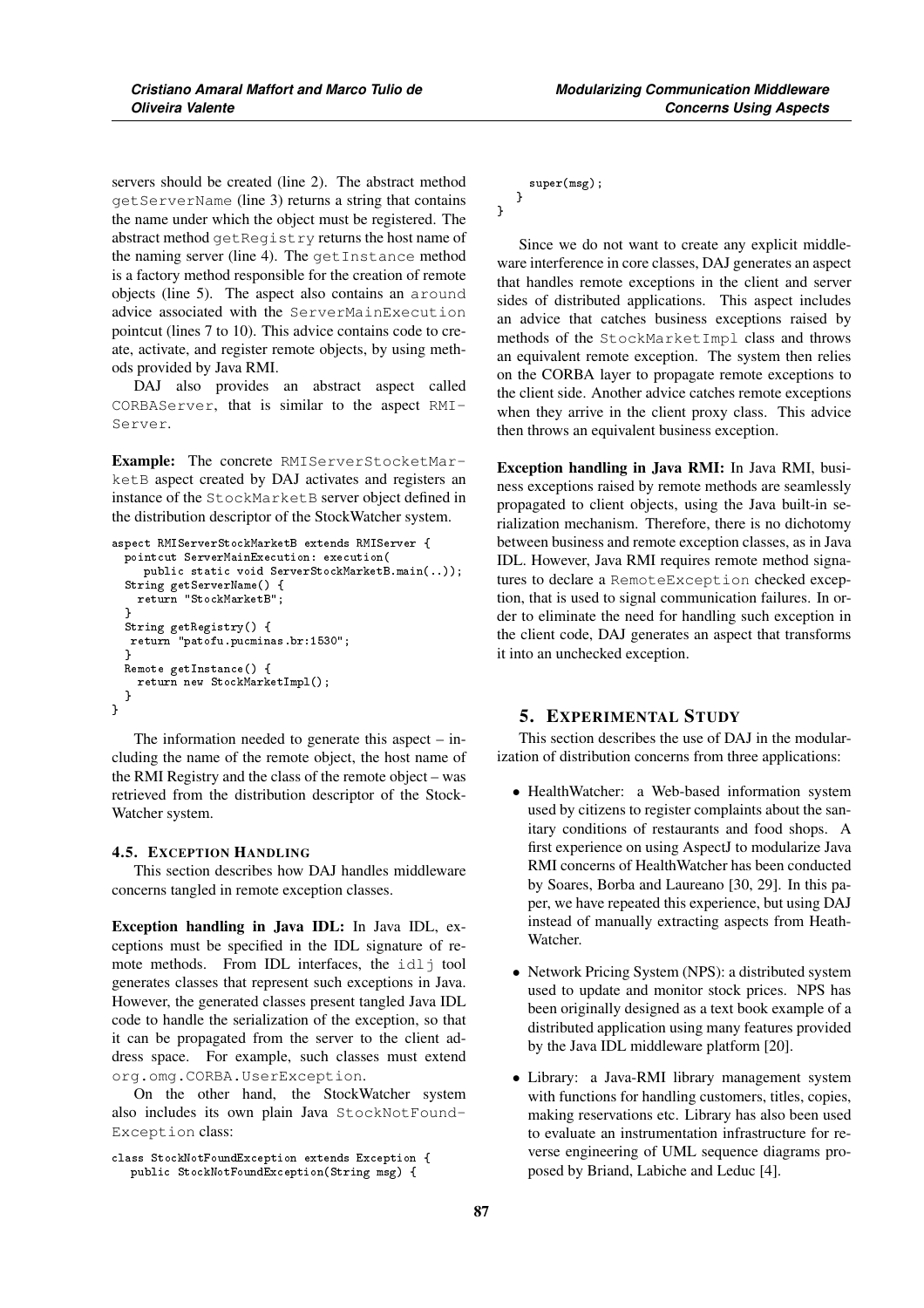servers should be created (line 2). The abstract method getServerName (line 3) returns a string that contains the name under which the object must be registered. The abstract method getRegistry returns the host name of the naming server (line 4). The getInstance method is a factory method responsible for the creation of remote objects (line 5). The aspect also contains an around advice associated with the ServerMainExecution pointcut (lines 7 to 10). This advice contains code to create, activate, and register remote objects, by using methods provided by Java RMI.

DAJ also provides an abstract aspect called CORBAServer, that is similar to the aspect RMI-Server.

Example: The concrete RMIServerStocketMarketB aspect created by DAJ activates and registers an instance of the StockMarketB server object defined in the distribution descriptor of the StockWatcher system.

```
aspect RMIServerStockMarketB extends RMIServer {
  pointcut ServerMainExecution: execution(
     public static void ServerStockMarketB.main(..));
  String getServerName() {
    return "StockMarketB";
  }
 String getRegistry() {
  return "patofu.pucminas.br:1530";
  \left| \right|Remote getInstance() {
    return new StockMarketImpl();
 ا -
}
```
The information needed to generate this aspect – including the name of the remote object, the host name of the RMI Registry and the class of the remote object – was retrieved from the distribution descriptor of the Stock-Watcher system.

## 4.5. EXCEPTION HANDLING

This section describes how DAJ handles middleware concerns tangled in remote exception classes.

Exception handling in Java IDL: In Java IDL, exceptions must be specified in the IDL signature of remote methods. From IDL interfaces, the idlj tool generates classes that represent such exceptions in Java. However, the generated classes present tangled Java IDL code to handle the serialization of the exception, so that it can be propagated from the server to the client address space. For example, such classes must extend org.omg.CORBA.UserException.

On the other hand, the StockWatcher system also includes its own plain Java StockNotFound-Exception class:

```
class StockNotFoundException extends Exception {
   public StockNotFoundException(String msg) {
```

```
super(msg);
}
```
}

Since we do not want to create any explicit middleware interference in core classes, DAJ generates an aspect that handles remote exceptions in the client and server sides of distributed applications. This aspect includes an advice that catches business exceptions raised by methods of the StockMarketImpl class and throws an equivalent remote exception. The system then relies on the CORBA layer to propagate remote exceptions to the client side. Another advice catches remote exceptions when they arrive in the client proxy class. This advice then throws an equivalent business exception.

Exception handling in Java RMI: In Java RMI, business exceptions raised by remote methods are seamlessly propagated to client objects, using the Java built-in serialization mechanism. Therefore, there is no dichotomy between business and remote exception classes, as in Java IDL. However, Java RMI requires remote method signatures to declare a RemoteException checked exception, that is used to signal communication failures. In order to eliminate the need for handling such exception in the client code, DAJ generates an aspect that transforms it into an unchecked exception.

# 5. EXPERIMENTAL STUDY

This section describes the use of DAJ in the modularization of distribution concerns from three applications:

- HealthWatcher: a Web-based information system used by citizens to register complaints about the sanitary conditions of restaurants and food shops. A first experience on using AspectJ to modularize Java RMI concerns of HealthWatcher has been conducted by Soares, Borba and Laureano [30, 29]. In this paper, we have repeated this experience, but using DAJ instead of manually extracting aspects from Heath-Watcher.
- Network Pricing System (NPS): a distributed system used to update and monitor stock prices. NPS has been originally designed as a text book example of a distributed application using many features provided by the Java IDL middleware platform [20].
- Library: a Java-RMI library management system with functions for handling customers, titles, copies, making reservations etc. Library has also been used to evaluate an instrumentation infrastructure for reverse engineering of UML sequence diagrams proposed by Briand, Labiche and Leduc [4].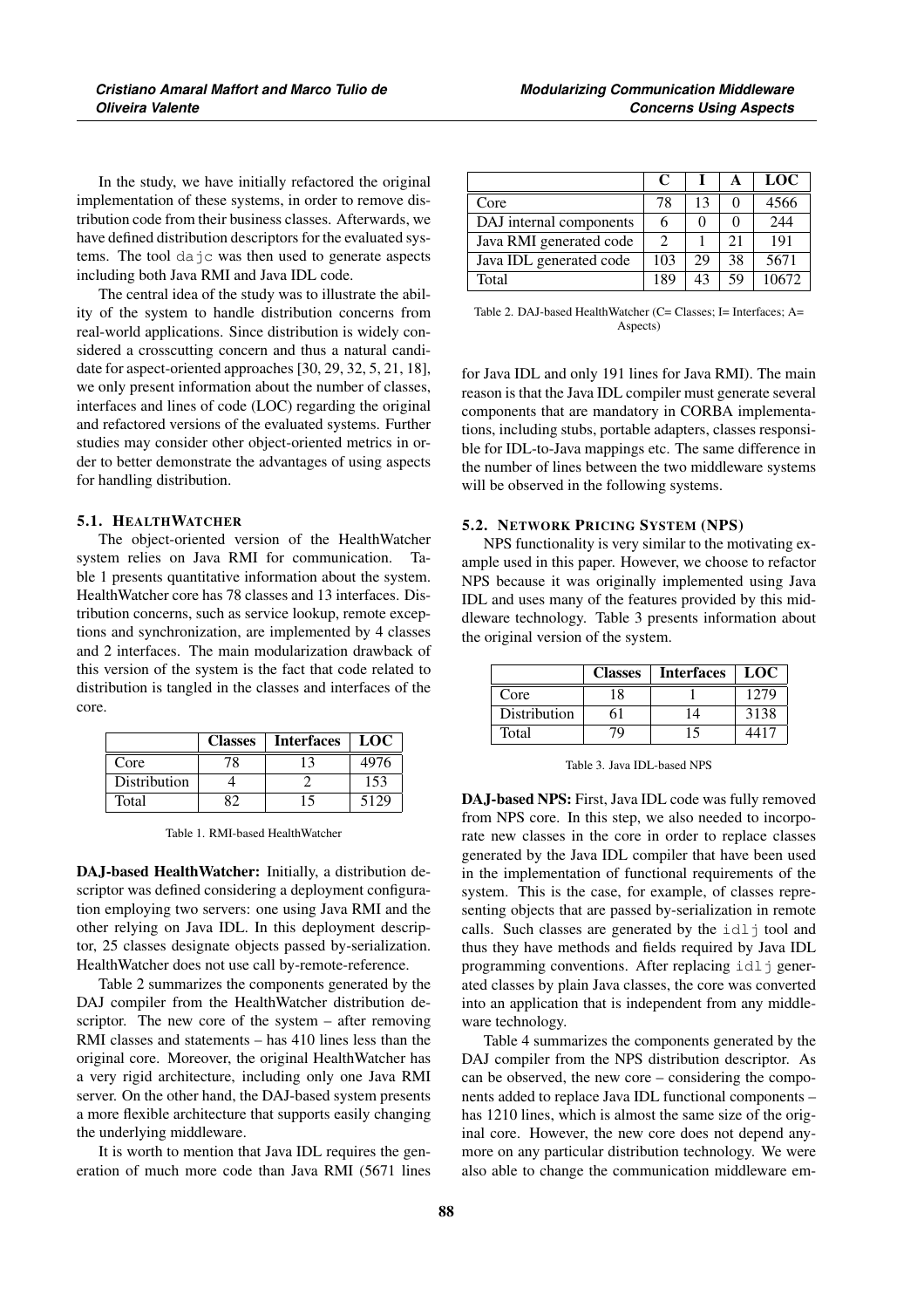In the study, we have initially refactored the original implementation of these systems, in order to remove distribution code from their business classes. Afterwards, we have defined distribution descriptors for the evaluated systems. The tool dajc was then used to generate aspects including both Java RMI and Java IDL code.

The central idea of the study was to illustrate the ability of the system to handle distribution concerns from real-world applications. Since distribution is widely considered a crosscutting concern and thus a natural candidate for aspect-oriented approaches [30, 29, 32, 5, 21, 18], we only present information about the number of classes, interfaces and lines of code (LOC) regarding the original and refactored versions of the evaluated systems. Further studies may consider other object-oriented metrics in order to better demonstrate the advantages of using aspects for handling distribution.

## 5.1. HEALTHWATCHER

The object-oriented version of the HealthWatcher system relies on Java RMI for communication. Table 1 presents quantitative information about the system. HealthWatcher core has 78 classes and 13 interfaces. Distribution concerns, such as service lookup, remote exceptions and synchronization, are implemented by 4 classes and 2 interfaces. The main modularization drawback of this version of the system is the fact that code related to distribution is tangled in the classes and interfaces of the core.

|              | <b>Classes</b> | Interfaces   LOC |      |
|--------------|----------------|------------------|------|
| Core         | 78             |                  | 4976 |
| Distribution |                |                  | 153  |
| Total        |                | 15               | 5129 |

Table 1. RMI-based HealthWatcher

DAJ-based HealthWatcher: Initially, a distribution descriptor was defined considering a deployment configuration employing two servers: one using Java RMI and the other relying on Java IDL. In this deployment descriptor, 25 classes designate objects passed by-serialization. HealthWatcher does not use call by-remote-reference.

Table 2 summarizes the components generated by the DAJ compiler from the HealthWatcher distribution descriptor. The new core of the system – after removing RMI classes and statements – has 410 lines less than the original core. Moreover, the original HealthWatcher has a very rigid architecture, including only one Java RMI server. On the other hand, the DAJ-based system presents a more flexible architecture that supports easily changing the underlying middleware.

It is worth to mention that Java IDL requires the generation of much more code than Java RMI (5671 lines

|                         | C                           |    | А  | LOC   |
|-------------------------|-----------------------------|----|----|-------|
| Core                    | 78                          | 13 |    | 4566  |
| DAJ internal components | 6                           |    |    | 244   |
| Java RMI generated code | $\mathcal{D}_{\mathcal{A}}$ |    | 21 | 191   |
| Java IDL generated code | 103                         | 29 | 38 | 5671  |
| Total                   | 189                         | 43 | 59 | 10672 |

Table 2. DAJ-based HealthWatcher (C= Classes; I= Interfaces; A= Aspects)

for Java IDL and only 191 lines for Java RMI). The main reason is that the Java IDL compiler must generate several components that are mandatory in CORBA implementations, including stubs, portable adapters, classes responsible for IDL-to-Java mappings etc. The same difference in the number of lines between the two middleware systems will be observed in the following systems.

#### 5.2. NETWORK PRICING SYSTEM (NPS)

NPS functionality is very similar to the motivating example used in this paper. However, we choose to refactor NPS because it was originally implemented using Java IDL and uses many of the features provided by this middleware technology. Table 3 presents information about the original version of the system.

|              | <b>Classes</b> | <b>Interfaces</b> | LOC  |
|--------------|----------------|-------------------|------|
| Core         | 18             |                   | 1279 |
| Distribution |                | 14                | 3138 |
| Total        |                | 15                | 4417 |

Table 3. Java IDL-based NPS

DAJ-based NPS: First, Java IDL code was fully removed from NPS core. In this step, we also needed to incorporate new classes in the core in order to replace classes generated by the Java IDL compiler that have been used in the implementation of functional requirements of the system. This is the case, for example, of classes representing objects that are passed by-serialization in remote calls. Such classes are generated by the  $idl \uparrow$  tool and thus they have methods and fields required by Java IDL programming conventions. After replacing  $idl$  generated classes by plain Java classes, the core was converted into an application that is independent from any middleware technology.

Table 4 summarizes the components generated by the DAJ compiler from the NPS distribution descriptor. As can be observed, the new core – considering the components added to replace Java IDL functional components – has 1210 lines, which is almost the same size of the original core. However, the new core does not depend anymore on any particular distribution technology. We were also able to change the communication middleware em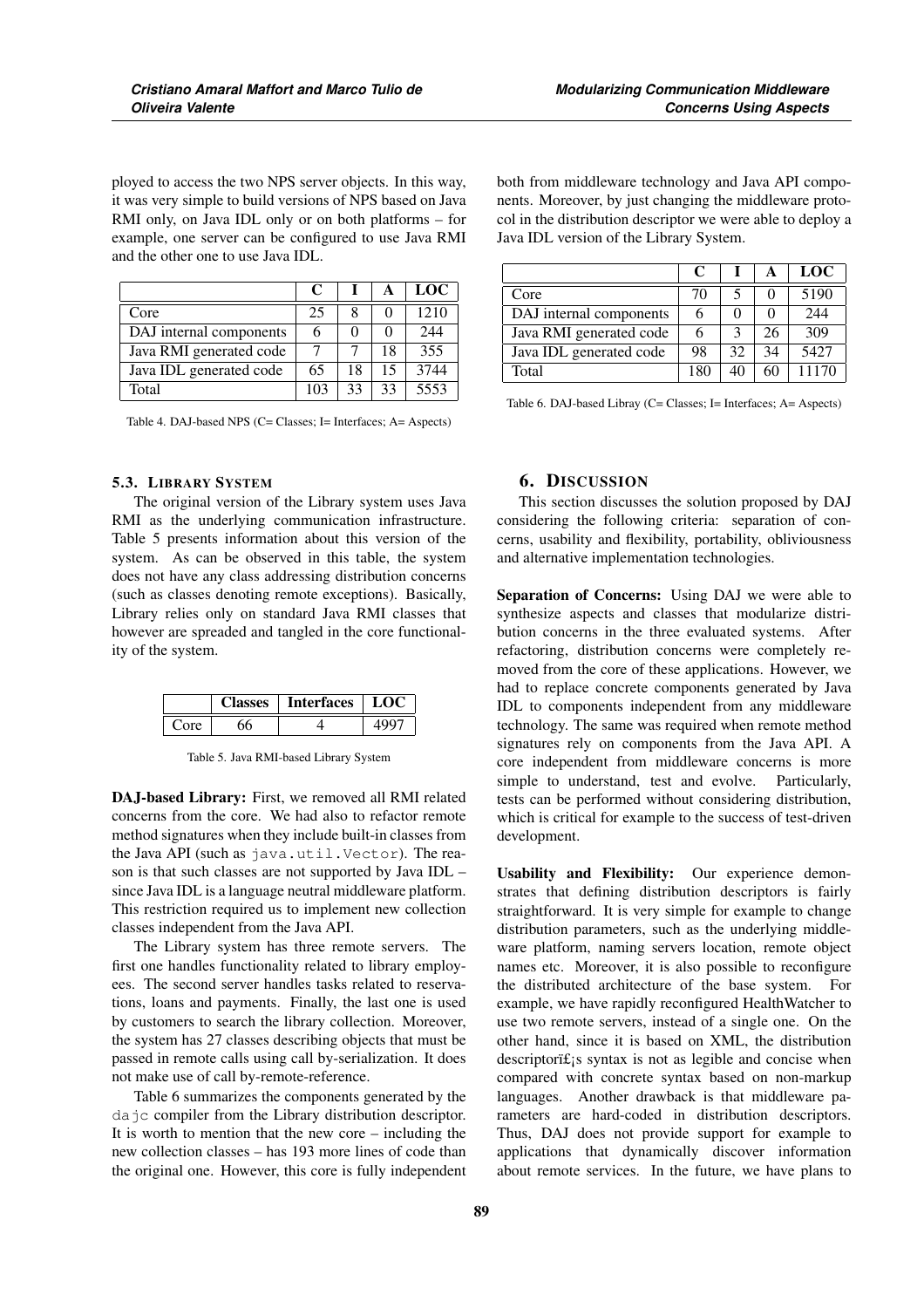ployed to access the two NPS server objects. In this way, it was very simple to build versions of NPS based on Java RMI only, on Java IDL only or on both platforms – for example, one server can be configured to use Java RMI and the other one to use Java IDL.

|                         | C   |    | $\mathbf{A}$ | LOC  |
|-------------------------|-----|----|--------------|------|
| Core                    | 25  |    |              | 1210 |
| DAJ internal components | 6   |    |              | 244  |
| Java RMI generated code |     |    | 18           | 355  |
| Java IDL generated code | 65  | 18 | 15           | 3744 |
| Total                   | 103 | 33 | 33           | 5553 |

Table 4. DAJ-based NPS (C= Classes; I= Interfaces; A= Aspects)

#### 5.3. LIBRARY SYSTEM

The original version of the Library system uses Java RMI as the underlying communication infrastructure. Table 5 presents information about this version of the system. As can be observed in this table, the system does not have any class addressing distribution concerns (such as classes denoting remote exceptions). Basically, Library relies only on standard Java RMI classes that however are spreaded and tangled in the core functionality of the system.

| lasses | <b>Interfaces</b> | $\perp$ LOC |
|--------|-------------------|-------------|
|        |                   |             |

Table 5. Java RMI-based Library System

DAJ-based Library: First, we removed all RMI related concerns from the core. We had also to refactor remote method signatures when they include built-in classes from the Java API (such as java.util.Vector). The reason is that such classes are not supported by Java IDL – since Java IDL is a language neutral middleware platform. This restriction required us to implement new collection classes independent from the Java API.

The Library system has three remote servers. The first one handles functionality related to library employees. The second server handles tasks related to reservations, loans and payments. Finally, the last one is used by customers to search the library collection. Moreover, the system has 27 classes describing objects that must be passed in remote calls using call by-serialization. It does not make use of call by-remote-reference.

Table 6 summarizes the components generated by the dajc compiler from the Library distribution descriptor. It is worth to mention that the new core – including the new collection classes – has 193 more lines of code than the original one. However, this core is fully independent both from middleware technology and Java API components. Moreover, by just changing the middleware protocol in the distribution descriptor we were able to deploy a Java IDL version of the Library System.

|                         | C   |    | А  | <b>LOC</b> |
|-------------------------|-----|----|----|------------|
| Core                    | 70  |    |    | 5190       |
| DAJ internal components |     |    |    | 244        |
| Java RMI generated code |     |    | 26 | 309        |
| Java IDL generated code | 98  | 32 | 34 | 5427       |
| Total                   | 180 |    | 60 | 11170      |

Table 6. DAJ-based Libray (C= Classes; I= Interfaces; A= Aspects)

# 6. DISCUSSION

This section discusses the solution proposed by DAJ considering the following criteria: separation of concerns, usability and flexibility, portability, obliviousness and alternative implementation technologies.

Separation of Concerns: Using DAJ we were able to synthesize aspects and classes that modularize distribution concerns in the three evaluated systems. After refactoring, distribution concerns were completely removed from the core of these applications. However, we had to replace concrete components generated by Java IDL to components independent from any middleware technology. The same was required when remote method signatures rely on components from the Java API. A core independent from middleware concerns is more simple to understand, test and evolve. Particularly, tests can be performed without considering distribution, which is critical for example to the success of test-driven development.

Usability and Flexibility: Our experience demonstrates that defining distribution descriptors is fairly straightforward. It is very simple for example to change distribution parameters, such as the underlying middleware platform, naming servers location, remote object names etc. Moreover, it is also possible to reconfigure the distributed architecture of the base system. For example, we have rapidly reconfigured HealthWatcher to use two remote servers, instead of a single one. On the other hand, since it is based on XML, the distribution  $descriptor$  if is syntax is not as legible and concise when compared with concrete syntax based on non-markup languages. Another drawback is that middleware parameters are hard-coded in distribution descriptors. Thus, DAJ does not provide support for example to applications that dynamically discover information about remote services. In the future, we have plans to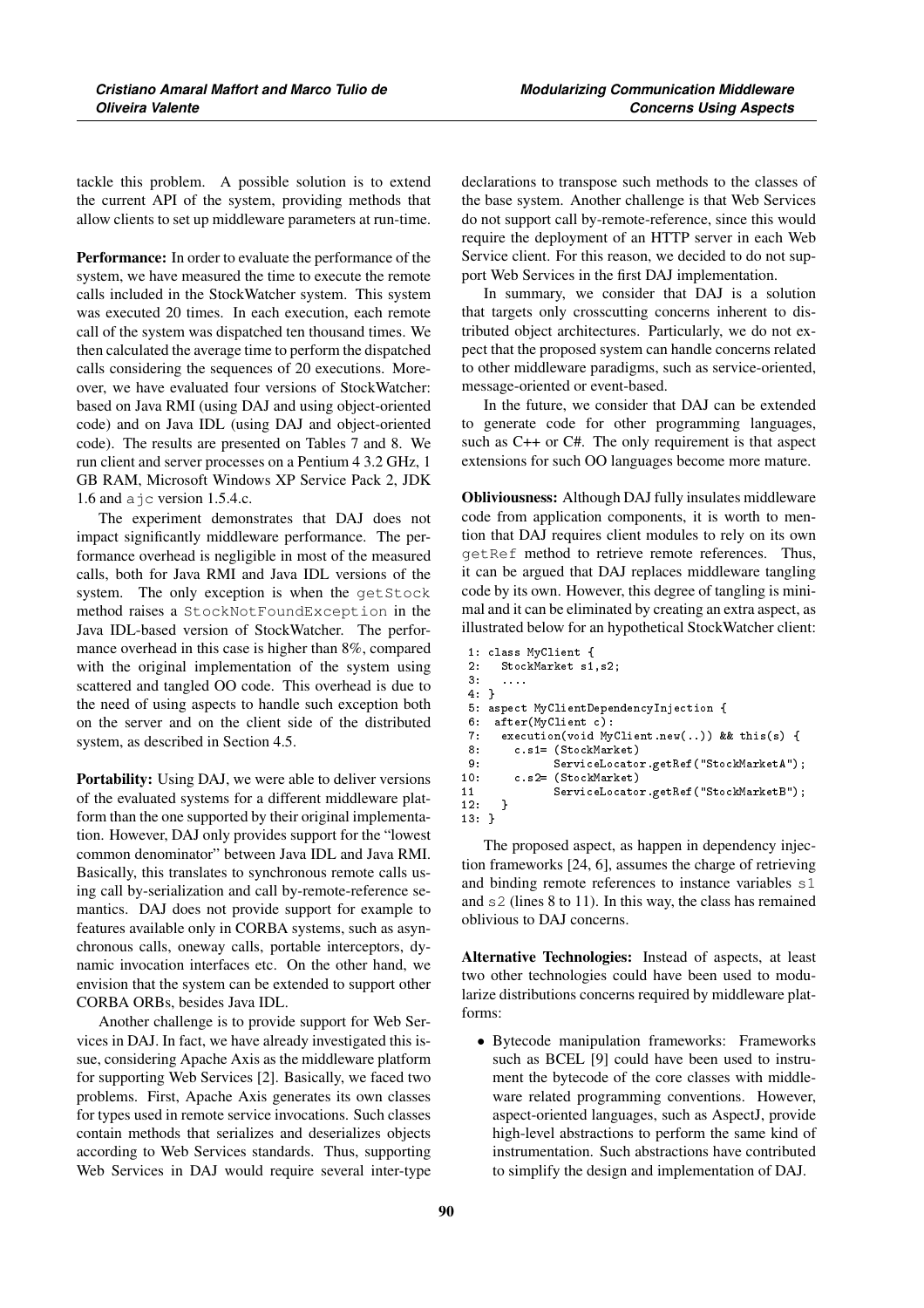tackle this problem. A possible solution is to extend the current API of the system, providing methods that allow clients to set up middleware parameters at run-time.

Performance: In order to evaluate the performance of the system, we have measured the time to execute the remote calls included in the StockWatcher system. This system was executed 20 times. In each execution, each remote call of the system was dispatched ten thousand times. We then calculated the average time to perform the dispatched calls considering the sequences of 20 executions. Moreover, we have evaluated four versions of StockWatcher: based on Java RMI (using DAJ and using object-oriented code) and on Java IDL (using DAJ and object-oriented code). The results are presented on Tables 7 and 8. We run client and server processes on a Pentium 4 3.2 GHz, 1 GB RAM, Microsoft Windows XP Service Pack 2, JDK 1.6 and ajc version 1.5.4.c.

The experiment demonstrates that DAJ does not impact significantly middleware performance. The performance overhead is negligible in most of the measured calls, both for Java RMI and Java IDL versions of the system. The only exception is when the getStock method raises a StockNotFoundException in the Java IDL-based version of StockWatcher. The performance overhead in this case is higher than 8%, compared with the original implementation of the system using scattered and tangled OO code. This overhead is due to the need of using aspects to handle such exception both on the server and on the client side of the distributed system, as described in Section 4.5.

Portability: Using DAJ, we were able to deliver versions of the evaluated systems for a different middleware platform than the one supported by their original implementation. However, DAJ only provides support for the "lowest common denominator" between Java IDL and Java RMI. Basically, this translates to synchronous remote calls using call by-serialization and call by-remote-reference semantics. DAJ does not provide support for example to features available only in CORBA systems, such as asynchronous calls, oneway calls, portable interceptors, dynamic invocation interfaces etc. On the other hand, we envision that the system can be extended to support other CORBA ORBs, besides Java IDL.

Another challenge is to provide support for Web Services in DAJ. In fact, we have already investigated this issue, considering Apache Axis as the middleware platform for supporting Web Services [2]. Basically, we faced two problems. First, Apache Axis generates its own classes for types used in remote service invocations. Such classes contain methods that serializes and deserializes objects according to Web Services standards. Thus, supporting Web Services in DAJ would require several inter-type declarations to transpose such methods to the classes of the base system. Another challenge is that Web Services do not support call by-remote-reference, since this would require the deployment of an HTTP server in each Web Service client. For this reason, we decided to do not support Web Services in the first DAJ implementation.

In summary, we consider that DAJ is a solution that targets only crosscutting concerns inherent to distributed object architectures. Particularly, we do not expect that the proposed system can handle concerns related to other middleware paradigms, such as service-oriented, message-oriented or event-based.

In the future, we consider that DAJ can be extended to generate code for other programming languages, such as C++ or C#. The only requirement is that aspect extensions for such OO languages become more mature.

Obliviousness: Although DAJ fully insulates middleware code from application components, it is worth to mention that DAJ requires client modules to rely on its own getRef method to retrieve remote references. Thus, it can be argued that DAJ replaces middleware tangling code by its own. However, this degree of tangling is minimal and it can be eliminated by creating an extra aspect, as illustrated below for an hypothetical StockWatcher client:

```
1: class MyClient {
2: StockMarket s1,s2;<br>3: ....
       3: ....
 4: }
5: aspect MyClientDependencyInjection {<br>6: after(MyClient c):
6: after(MyClient c):<br>7: execution(void My
 7: execution(void MyClient.new(..)) && this(s) {
8: c.s1= (StockMarket)<br>9: ServiceLocato
                ServiceLocator.getRef("StockMarketA");
10: c.s2= (StockMarket)
11 ServiceLocator.getRef("StockMarketB");<br>12: }
12:13: }
```
The proposed aspect, as happen in dependency injection frameworks [24, 6], assumes the charge of retrieving and binding remote references to instance variables s1 and s2 (lines 8 to 11). In this way, the class has remained oblivious to DAJ concerns.

Alternative Technologies: Instead of aspects, at least two other technologies could have been used to modularize distributions concerns required by middleware platforms:

• Bytecode manipulation frameworks: Frameworks such as BCEL [9] could have been used to instrument the bytecode of the core classes with middleware related programming conventions. However, aspect-oriented languages, such as AspectJ, provide high-level abstractions to perform the same kind of instrumentation. Such abstractions have contributed to simplify the design and implementation of DAJ.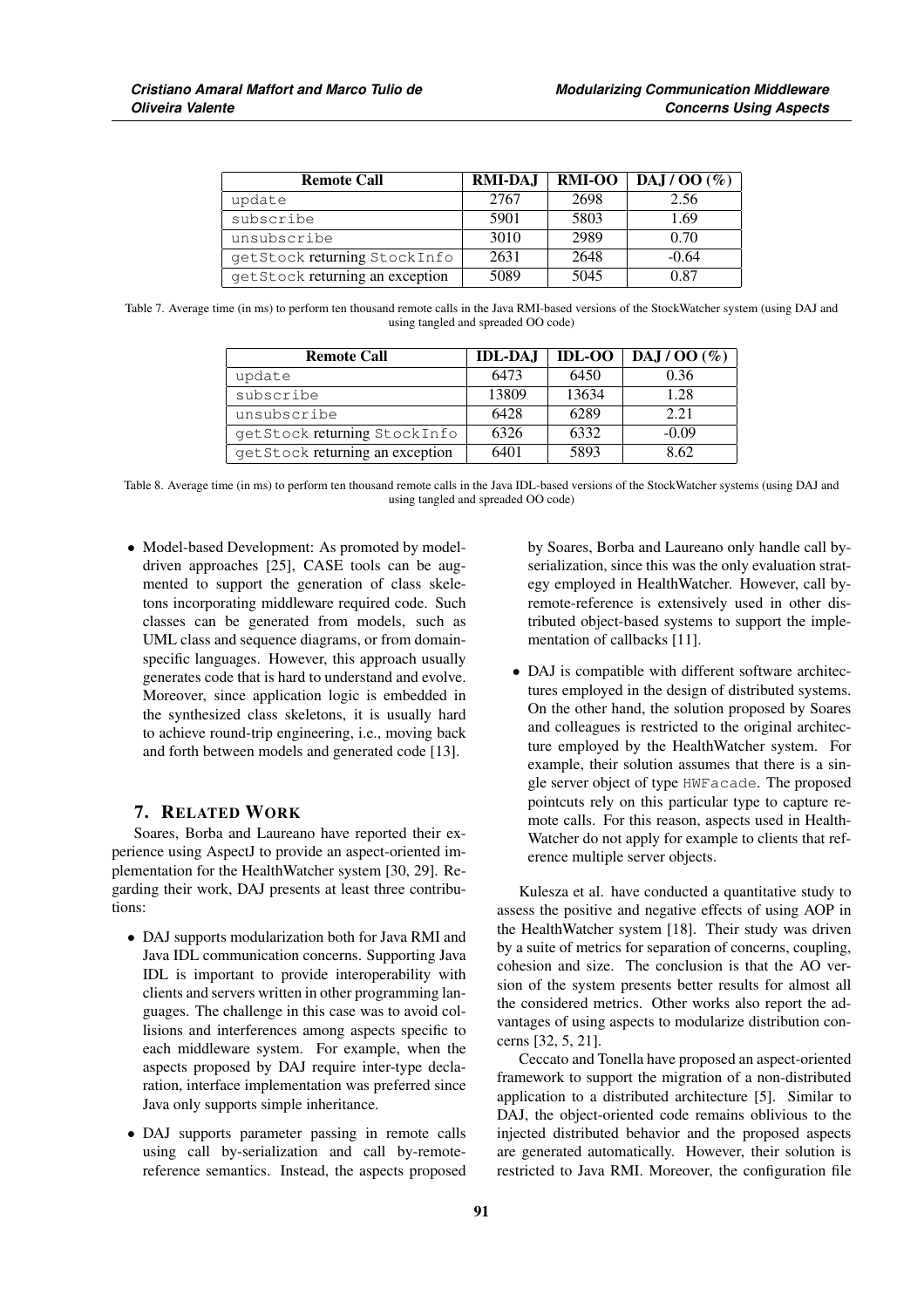| <b>Remote Call</b>              | <b>RMI-DAJ</b> | <b>RMI-OO</b> | DAJ/OO(%) |
|---------------------------------|----------------|---------------|-----------|
| update                          | 2767           | 2698          | 2.56      |
| subscribe                       | 5901           | 5803          | 1.69      |
| unsubscribe                     | 3010           | 2989          | 0.70      |
| getStock returning StockInfo    | 2631           | 2648          | $-0.64$   |
| getStock returning an exception | 5089           | 5045          | 0.87      |

Table 7. Average time (in ms) to perform ten thousand remote calls in the Java RMI-based versions of the StockWatcher system (using DAJ and using tangled and spreaded OO code)

| <b>Remote Call</b>              | <b>IDL-DAJ</b> | <b>IDL-OO</b> | DAJ / OO $(\%)$ |
|---------------------------------|----------------|---------------|-----------------|
| update                          | 6473           | 6450          | 0.36            |
| subscribe                       | 13809          | 13634         | 1.28            |
| unsubscribe                     | 6428           | 6289          | 2.21            |
| getStock returning Stock Info   | 6326           | 6332          | $-0.09$         |
| getStock returning an exception | 6401           | 5893          | 8.62            |

Table 8. Average time (in ms) to perform ten thousand remote calls in the Java IDL-based versions of the StockWatcher systems (using DAJ and using tangled and spreaded OO code)

• Model-based Development: As promoted by modeldriven approaches [25], CASE tools can be augmented to support the generation of class skeletons incorporating middleware required code. Such classes can be generated from models, such as UML class and sequence diagrams, or from domainspecific languages. However, this approach usually generates code that is hard to understand and evolve. Moreover, since application logic is embedded in the synthesized class skeletons, it is usually hard to achieve round-trip engineering, i.e., moving back and forth between models and generated code [13].

# 7. RELATED WORK

Soares, Borba and Laureano have reported their experience using AspectJ to provide an aspect-oriented implementation for the HealthWatcher system [30, 29]. Regarding their work, DAJ presents at least three contributions:

- DAJ supports modularization both for Java RMI and Java IDL communication concerns. Supporting Java IDL is important to provide interoperability with clients and servers written in other programming languages. The challenge in this case was to avoid collisions and interferences among aspects specific to each middleware system. For example, when the aspects proposed by DAJ require inter-type declaration, interface implementation was preferred since Java only supports simple inheritance.
- DAJ supports parameter passing in remote calls using call by-serialization and call by-remotereference semantics. Instead, the aspects proposed

by Soares, Borba and Laureano only handle call byserialization, since this was the only evaluation strategy employed in HealthWatcher. However, call byremote-reference is extensively used in other distributed object-based systems to support the implementation of callbacks [11].

• DAJ is compatible with different software architectures employed in the design of distributed systems. On the other hand, the solution proposed by Soares and colleagues is restricted to the original architecture employed by the HealthWatcher system. For example, their solution assumes that there is a single server object of type HWFacade. The proposed pointcuts rely on this particular type to capture remote calls. For this reason, aspects used in Health-Watcher do not apply for example to clients that reference multiple server objects.

Kulesza et al. have conducted a quantitative study to assess the positive and negative effects of using AOP in the HealthWatcher system [18]. Their study was driven by a suite of metrics for separation of concerns, coupling, cohesion and size. The conclusion is that the AO version of the system presents better results for almost all the considered metrics. Other works also report the advantages of using aspects to modularize distribution concerns [32, 5, 21].

Ceccato and Tonella have proposed an aspect-oriented framework to support the migration of a non-distributed application to a distributed architecture [5]. Similar to DAJ, the object-oriented code remains oblivious to the injected distributed behavior and the proposed aspects are generated automatically. However, their solution is restricted to Java RMI. Moreover, the configuration file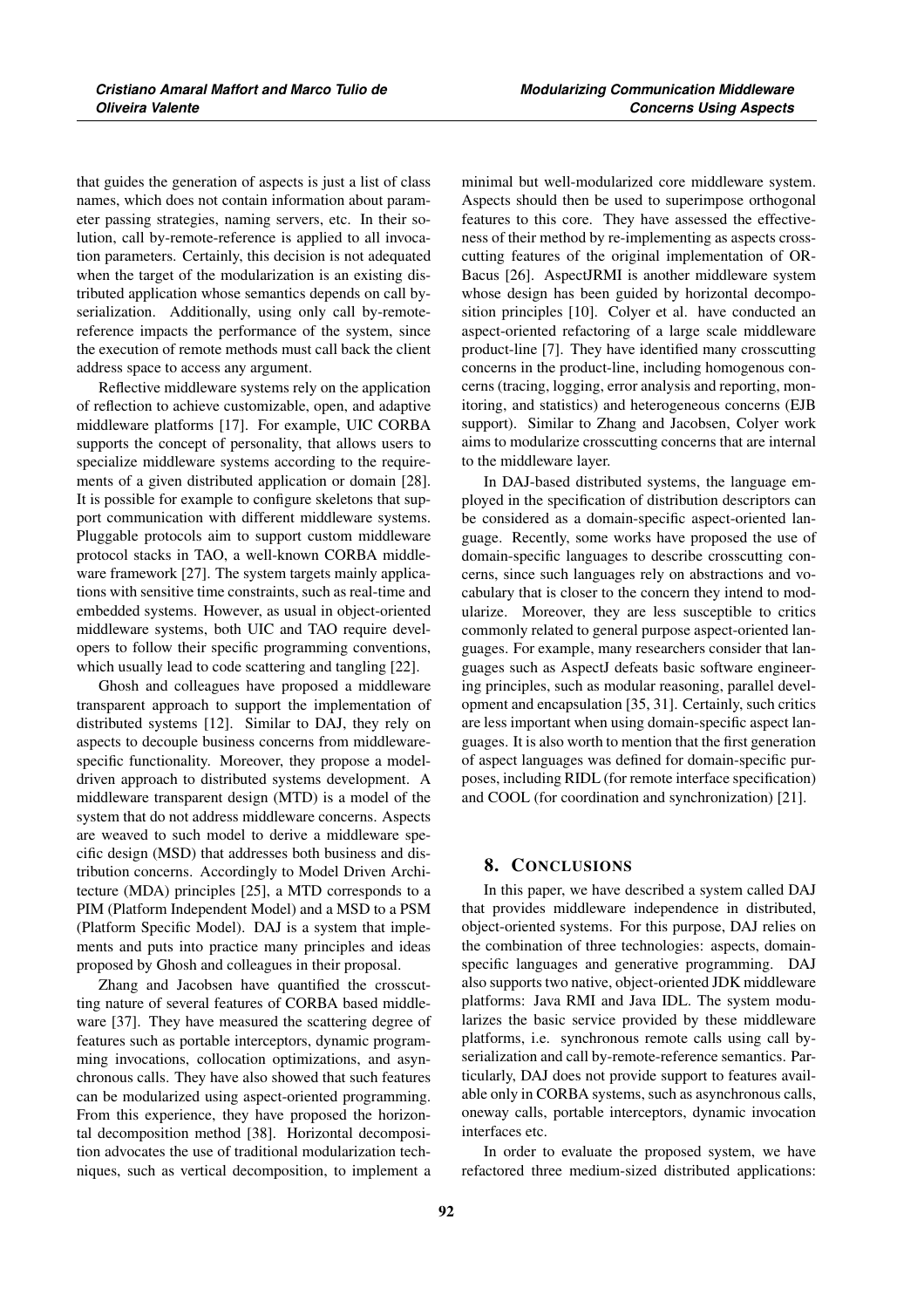that guides the generation of aspects is just a list of class names, which does not contain information about parameter passing strategies, naming servers, etc. In their solution, call by-remote-reference is applied to all invocation parameters. Certainly, this decision is not adequated when the target of the modularization is an existing distributed application whose semantics depends on call byserialization. Additionally, using only call by-remotereference impacts the performance of the system, since the execution of remote methods must call back the client address space to access any argument.

Reflective middleware systems rely on the application of reflection to achieve customizable, open, and adaptive middleware platforms [17]. For example, UIC CORBA supports the concept of personality, that allows users to specialize middleware systems according to the requirements of a given distributed application or domain [28]. It is possible for example to configure skeletons that support communication with different middleware systems. Pluggable protocols aim to support custom middleware protocol stacks in TAO, a well-known CORBA middleware framework [27]. The system targets mainly applications with sensitive time constraints, such as real-time and embedded systems. However, as usual in object-oriented middleware systems, both UIC and TAO require developers to follow their specific programming conventions, which usually lead to code scattering and tangling [22].

Ghosh and colleagues have proposed a middleware transparent approach to support the implementation of distributed systems [12]. Similar to DAJ, they rely on aspects to decouple business concerns from middlewarespecific functionality. Moreover, they propose a modeldriven approach to distributed systems development. A middleware transparent design (MTD) is a model of the system that do not address middleware concerns. Aspects are weaved to such model to derive a middleware specific design (MSD) that addresses both business and distribution concerns. Accordingly to Model Driven Architecture (MDA) principles [25], a MTD corresponds to a PIM (Platform Independent Model) and a MSD to a PSM (Platform Specific Model). DAJ is a system that implements and puts into practice many principles and ideas proposed by Ghosh and colleagues in their proposal.

Zhang and Jacobsen have quantified the crosscutting nature of several features of CORBA based middleware [37]. They have measured the scattering degree of features such as portable interceptors, dynamic programming invocations, collocation optimizations, and asynchronous calls. They have also showed that such features can be modularized using aspect-oriented programming. From this experience, they have proposed the horizontal decomposition method [38]. Horizontal decomposition advocates the use of traditional modularization techniques, such as vertical decomposition, to implement a minimal but well-modularized core middleware system. Aspects should then be used to superimpose orthogonal features to this core. They have assessed the effectiveness of their method by re-implementing as aspects crosscutting features of the original implementation of OR-Bacus [26]. AspectJRMI is another middleware system whose design has been guided by horizontal decomposition principles [10]. Colyer et al. have conducted an aspect-oriented refactoring of a large scale middleware product-line [7]. They have identified many crosscutting concerns in the product-line, including homogenous concerns (tracing, logging, error analysis and reporting, monitoring, and statistics) and heterogeneous concerns (EJB support). Similar to Zhang and Jacobsen, Colyer work aims to modularize crosscutting concerns that are internal to the middleware layer.

In DAJ-based distributed systems, the language employed in the specification of distribution descriptors can be considered as a domain-specific aspect-oriented language. Recently, some works have proposed the use of domain-specific languages to describe crosscutting concerns, since such languages rely on abstractions and vocabulary that is closer to the concern they intend to modularize. Moreover, they are less susceptible to critics commonly related to general purpose aspect-oriented languages. For example, many researchers consider that languages such as AspectJ defeats basic software engineering principles, such as modular reasoning, parallel development and encapsulation [35, 31]. Certainly, such critics are less important when using domain-specific aspect languages. It is also worth to mention that the first generation of aspect languages was defined for domain-specific purposes, including RIDL (for remote interface specification) and COOL (for coordination and synchronization) [21].

# 8. CONCLUSIONS

In this paper, we have described a system called DAJ that provides middleware independence in distributed, object-oriented systems. For this purpose, DAJ relies on the combination of three technologies: aspects, domainspecific languages and generative programming. DAJ also supports two native, object-oriented JDK middleware platforms: Java RMI and Java IDL. The system modularizes the basic service provided by these middleware platforms, i.e. synchronous remote calls using call byserialization and call by-remote-reference semantics. Particularly, DAJ does not provide support to features available only in CORBA systems, such as asynchronous calls, oneway calls, portable interceptors, dynamic invocation interfaces etc.

In order to evaluate the proposed system, we have refactored three medium-sized distributed applications: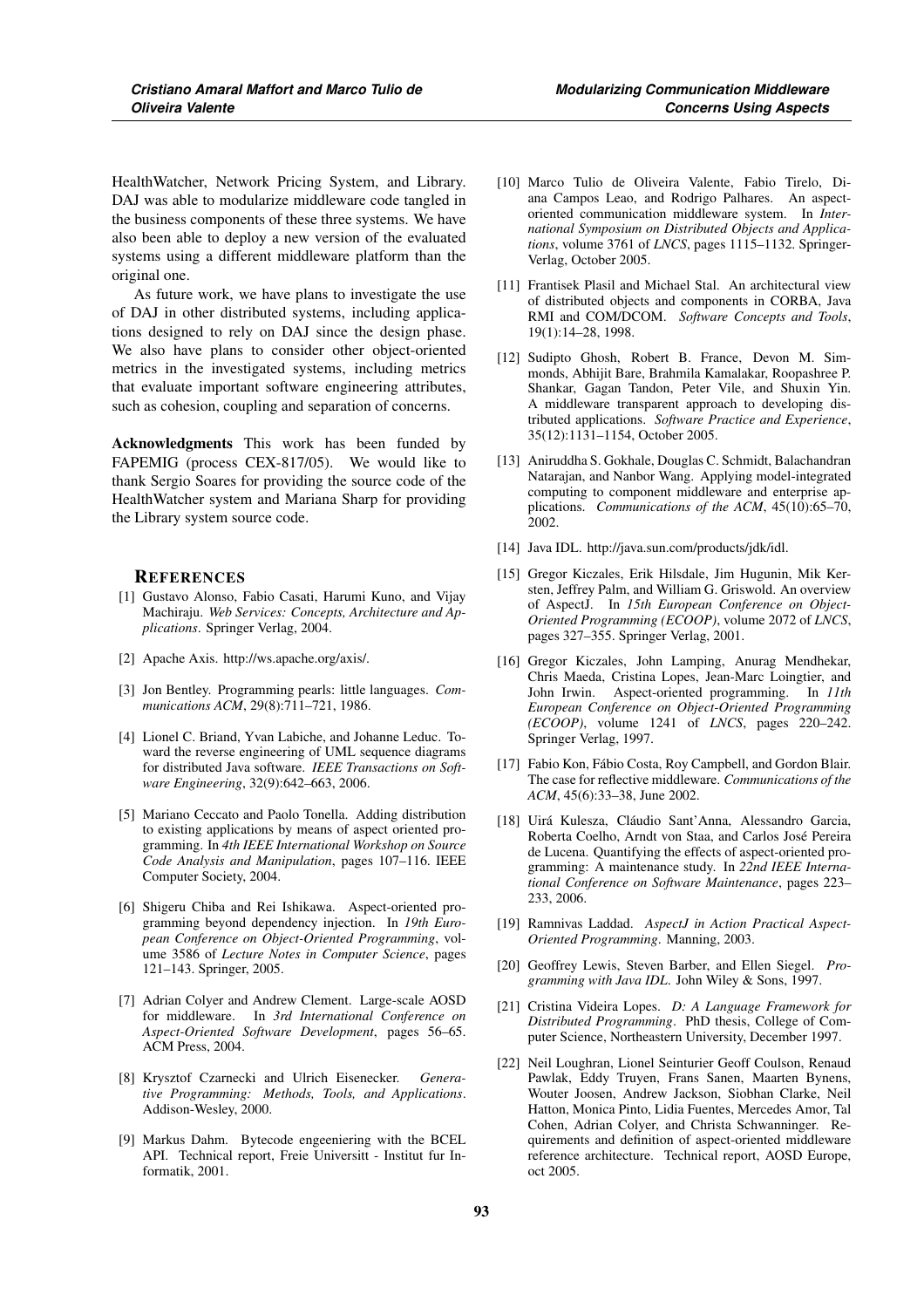HealthWatcher, Network Pricing System, and Library. DAJ was able to modularize middleware code tangled in the business components of these three systems. We have also been able to deploy a new version of the evaluated systems using a different middleware platform than the original one.

As future work, we have plans to investigate the use of DAJ in other distributed systems, including applications designed to rely on DAJ since the design phase. We also have plans to consider other object-oriented metrics in the investigated systems, including metrics that evaluate important software engineering attributes, such as cohesion, coupling and separation of concerns.

Acknowledgments This work has been funded by FAPEMIG (process CEX-817/05). We would like to thank Sergio Soares for providing the source code of the HealthWatcher system and Mariana Sharp for providing the Library system source code.

#### **REFERENCES**

- [1] Gustavo Alonso, Fabio Casati, Harumi Kuno, and Vijay Machiraju. *Web Services: Concepts, Architecture and Applications*. Springer Verlag, 2004.
- [2] Apache Axis. http://ws.apache.org/axis/.
- [3] Jon Bentley. Programming pearls: little languages. *Communications ACM*, 29(8):711–721, 1986.
- [4] Lionel C. Briand, Yvan Labiche, and Johanne Leduc. Toward the reverse engineering of UML sequence diagrams for distributed Java software. *IEEE Transactions on Software Engineering*, 32(9):642–663, 2006.
- [5] Mariano Ceccato and Paolo Tonella. Adding distribution to existing applications by means of aspect oriented programming. In *4th IEEE International Workshop on Source Code Analysis and Manipulation*, pages 107–116. IEEE Computer Society, 2004.
- [6] Shigeru Chiba and Rei Ishikawa. Aspect-oriented programming beyond dependency injection. In *19th European Conference on Object-Oriented Programming*, volume 3586 of *Lecture Notes in Computer Science*, pages 121–143. Springer, 2005.
- [7] Adrian Colyer and Andrew Clement. Large-scale AOSD for middleware. In *3rd International Conference on Aspect-Oriented Software Development*, pages 56–65. ACM Press, 2004.
- [8] Krysztof Czarnecki and Ulrich Eisenecker. *Generative Programming: Methods, Tools, and Applications*. Addison-Wesley, 2000.
- [9] Markus Dahm. Bytecode engeeniering with the BCEL API. Technical report, Freie Universitt - Institut fur Informatik, 2001.
- [10] Marco Tulio de Oliveira Valente, Fabio Tirelo, Diana Campos Leao, and Rodrigo Palhares. An aspectoriented communication middleware system. In *International Symposium on Distributed Objects and Applications*, volume 3761 of *LNCS*, pages 1115–1132. Springer-Verlag, October 2005.
- [11] Frantisek Plasil and Michael Stal. An architectural view of distributed objects and components in CORBA, Java RMI and COM/DCOM. *Software Concepts and Tools*, 19(1):14–28, 1998.
- [12] Sudipto Ghosh, Robert B. France, Devon M. Simmonds, Abhijit Bare, Brahmila Kamalakar, Roopashree P. Shankar, Gagan Tandon, Peter Vile, and Shuxin Yin. A middleware transparent approach to developing distributed applications. *Software Practice and Experience*, 35(12):1131–1154, October 2005.
- [13] Aniruddha S. Gokhale, Douglas C. Schmidt, Balachandran Natarajan, and Nanbor Wang. Applying model-integrated computing to component middleware and enterprise applications. *Communications of the ACM*, 45(10):65–70, 2002.
- [14] Java IDL. http://java.sun.com/products/jdk/idl.
- [15] Gregor Kiczales, Erik Hilsdale, Jim Hugunin, Mik Kersten, Jeffrey Palm, and William G. Griswold. An overview of AspectJ. In *15th European Conference on Object-Oriented Programming (ECOOP)*, volume 2072 of *LNCS*, pages 327–355. Springer Verlag, 2001.
- [16] Gregor Kiczales, John Lamping, Anurag Mendhekar, Chris Maeda, Cristina Lopes, Jean-Marc Loingtier, and John Irwin. Aspect-oriented programming. In *11th European Conference on Object-Oriented Programming (ECOOP)*, volume 1241 of *LNCS*, pages 220–242. Springer Verlag, 1997.
- [17] Fabio Kon, Fábio Costa, Roy Campbell, and Gordon Blair. The case for reflective middleware. *Communications of the ACM*, 45(6):33–38, June 2002.
- [18] Uirá Kulesza, Cláudio Sant'Anna, Alessandro Garcia, Roberta Coelho, Arndt von Staa, and Carlos José Pereira de Lucena. Quantifying the effects of aspect-oriented programming: A maintenance study. In *22nd IEEE International Conference on Software Maintenance*, pages 223– 233, 2006.
- [19] Ramnivas Laddad. *AspectJ in Action Practical Aspect-Oriented Programming*. Manning, 2003.
- [20] Geoffrey Lewis, Steven Barber, and Ellen Siegel. *Programming with Java IDL*. John Wiley & Sons, 1997.
- [21] Cristina Videira Lopes. *D: A Language Framework for Distributed Programming*. PhD thesis, College of Computer Science, Northeastern University, December 1997.
- [22] Neil Loughran, Lionel Seinturier Geoff Coulson, Renaud Pawlak, Eddy Truyen, Frans Sanen, Maarten Bynens, Wouter Joosen, Andrew Jackson, Siobhan Clarke, Neil Hatton, Monica Pinto, Lidia Fuentes, Mercedes Amor, Tal Cohen, Adrian Colyer, and Christa Schwanninger. Requirements and definition of aspect-oriented middleware reference architecture. Technical report, AOSD Europe, oct 2005.